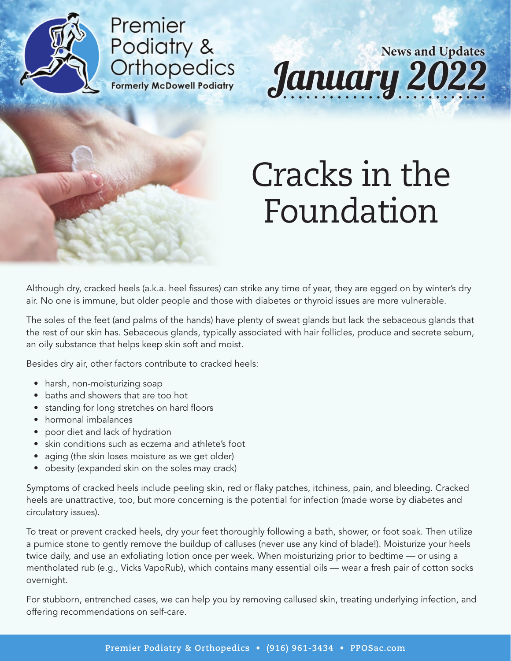

Premier Podiatry & **Orthopedics Formerly McDowell Podiatry** 

January 2022 **News and Updates**

### Cracks in the Foundation

Although dry, cracked heels (a.k.a. heel fissures) can strike any time of year, they are egged on by winter's dry air. No one is immune, but older people and those with diabetes or thyroid issues are more vulnerable.

The soles of the feet (and palms of the hands) have plenty of sweat glands but lack the sebaceous glands that the rest of our skin has. Sebaceous glands, typically associated with hair follicles, produce and secrete sebum, an oily substance that helps keep skin soft and moist.

Besides dry air, other factors contribute to cracked heels:

- harsh, non-moisturizing soap
- baths and showers that are too hot
- standing for long stretches on hard floors
- hormonal imbalances
- poor diet and lack of hydration
- skin conditions such as eczema and athlete's foot
- aging (the skin loses moisture as we get older)
- obesity (expanded skin on the soles may crack)

Symptoms of cracked heels include peeling skin, red or flaky patches, itchiness, pain, and bleeding. Cracked heels are unattractive, too, but more concerning is the potential for infection (made worse by diabetes and circulatory issues).

To treat or prevent cracked heels, dry your feet thoroughly following a bath, shower, or foot soak. Then utilize a pumice stone to gently remove the buildup of calluses (never use any kind of blade!). Moisturize your heels twice daily, and use an exfoliating lotion once per week. When moisturizing prior to bedtime — or using a mentholated rub (e.g., Vicks VapoRub), which contains many essential oils — wear a fresh pair of cotton socks overnight.

For stubborn, entrenched cases, we can help you by removing callused skin, treating underlying infection, and offering recommendations on self-care.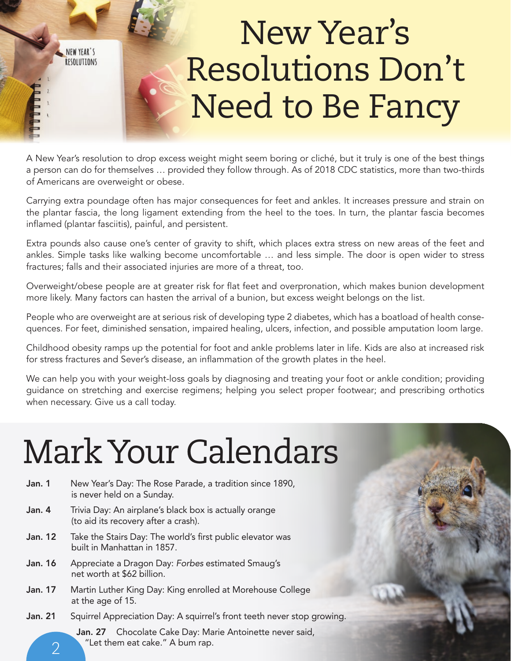# New Year's Resolutions Don't Need to Be Fancy

A New Year's resolution to drop excess weight might seem boring or cliché, but it truly is one of the best things a person can do for themselves … provided they follow through. As of 2018 CDC statistics, more than two-thirds of Americans are overweight or obese.

Carrying extra poundage often has major consequences for feet and ankles. It increases pressure and strain on the plantar fascia, the long ligament extending from the heel to the toes. In turn, the plantar fascia becomes inflamed (plantar fasciitis), painful, and persistent.

Extra pounds also cause one's center of gravity to shift, which places extra stress on new areas of the feet and ankles. Simple tasks like walking become uncomfortable … and less simple. The door is open wider to stress fractures; falls and their associated injuries are more of a threat, too.

Overweight/obese people are at greater risk for flat feet and overpronation, which makes bunion development more likely. Many factors can hasten the arrival of a bunion, but excess weight belongs on the list.

People who are overweight are at serious risk of developing type 2 diabetes, which has a boatload of health consequences. For feet, diminished sensation, impaired healing, ulcers, infection, and possible amputation loom large.

Childhood obesity ramps up the potential for foot and ankle problems later in life. Kids are also at increased risk for stress fractures and Sever's disease, an inflammation of the growth plates in the heel.

We can help you with your weight-loss goals by diagnosing and treating your foot or ankle condition; providing guidance on stretching and exercise regimens; helping you select proper footwear; and prescribing orthotics when necessary. Give us a call today.

# Mark Your Calendars

NEW YEAR'S RESOLUTIONS

| Jan. 1         | New Year's Day: The Rose Parade, a tradition since 1890,<br>is never held on a Sunday.         |
|----------------|------------------------------------------------------------------------------------------------|
| Jan. 4         | Trivia Day: An airplane's black box is actually orange<br>(to aid its recovery after a crash). |
| Jan. 12        | Take the Stairs Day: The world's first public elevator was<br>built in Manhattan in 1857.      |
| Jan. 16        | Appreciate a Dragon Day: Forbes estimated Smaug's<br>net worth at \$62 billion.                |
| <b>Jan. 17</b> | Martin Luther King Day: King enrolled at Morehouse College<br>at the age of 15.                |
| <b>Jan. 21</b> | Squirrel Appreciation Day: A squirrel's front teeth never stop growing.                        |
|                | Jan. 27 Chocolate Cake Day: Marie Antoinette never said,<br>"Let them eat cake." A bum rap.    |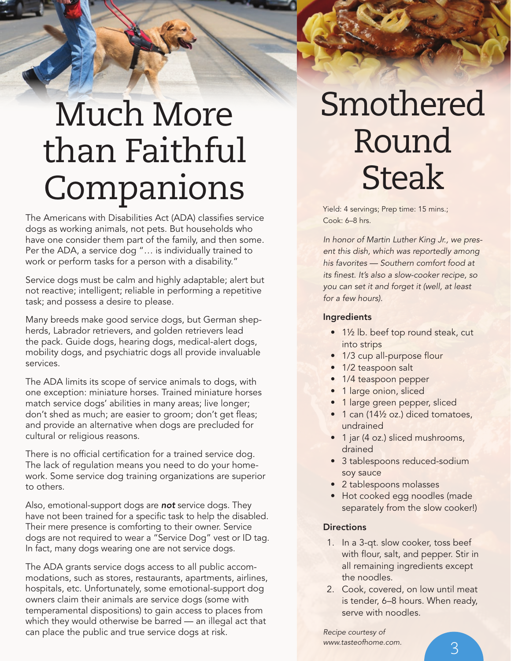# Much More than Faithful Companions Steak

The Americans with Disabilities Act (ADA) classifies service dogs as working animals, not pets. But households who have one consider them part of the family, and then some. Per the ADA, a service dog "… is individually trained to work or perform tasks for a person with a disability."

Service dogs must be calm and highly adaptable; alert but not reactive; intelligent; reliable in performing a repetitive task; and possess a desire to please.

Many breeds make good service dogs, but German shepherds, Labrador retrievers, and golden retrievers lead the pack. Guide dogs, hearing dogs, medical-alert dogs, mobility dogs, and psychiatric dogs all provide invaluable services.

The ADA limits its scope of service animals to dogs, with one exception: miniature horses. Trained miniature horses match service dogs' abilities in many areas; live longer; don't shed as much; are easier to groom; don't get fleas; and provide an alternative when dogs are precluded for cultural or religious reasons.

There is no official certification for a trained service dog. The lack of regulation means you need to do your homework. Some service dog training organizations are superior to others.

Also, emotional-support dogs are not service dogs. They have not been trained for a specific task to help the disabled. Their mere presence is comforting to their owner. Service dogs are not required to wear a "Service Dog" vest or ID tag. In fact, many dogs wearing one are not service dogs.

The ADA grants service dogs access to all public accommodations, such as stores, restaurants, apartments, airlines, hospitals, etc. Unfortunately, some emotional-support dog owners claim their animals are service dogs (some with temperamental dispositions) to gain access to places from which they would otherwise be barred — an illegal act that can place the public and true service dogs at risk.

### Smothered Round Steak

Cook: 6–8 hrs.

In honor of Martin Luther King Jr., we present this dish, which was reportedly among his favorites — Southern comfort food at its finest. It's also a slow-cooker recipe, so you can set it and forget it (well, at least for a few hours).

#### Ingredients

- 1½ lb. beef top round steak, cut into strips
- 1/3 cup all-purpose flour
- 1/2 teaspoon salt
- 1/4 teaspoon pepper
- 1 large onion, sliced
- 1 large green pepper, sliced
- 1 can (141/<sub>2</sub> oz.) diced tomatoes, undrained
- 1 jar (4 oz.) sliced mushrooms, drained
- 3 tablespoons reduced-sodium soy sauce
- 2 tablespoons molasses
- Hot cooked egg noodles (made separately from the slow cooker!)

#### **Directions**

- 1. In a 3-qt. slow cooker, toss beef with flour, salt, and pepper. Stir in all remaining ingredients except the noodles.
- 2. Cook, covered, on low until meat is tender, 6–8 hours. When ready, serve with noodles.

Recipe courtesy of www.tasteofhome.com.